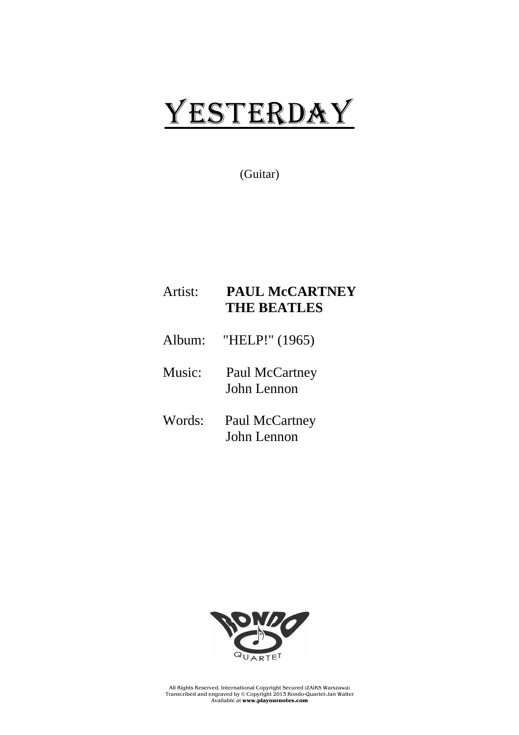# YESTERDAY

(Guitar)

### Artist: **PAUL McCARTNEY THE BEATLES**

- Album: "HELP!" (1965)
- Music: Paul McCartney John Lennon
- Words: Paul McCartney John Lennon



All Rights Reserved. International Copyright Secured (ZAiKS Warszawa) Transcribed and engraved by © Copyright 2013 Rondo-Quartet-Jan Walter Available at **www.playournotes.com**